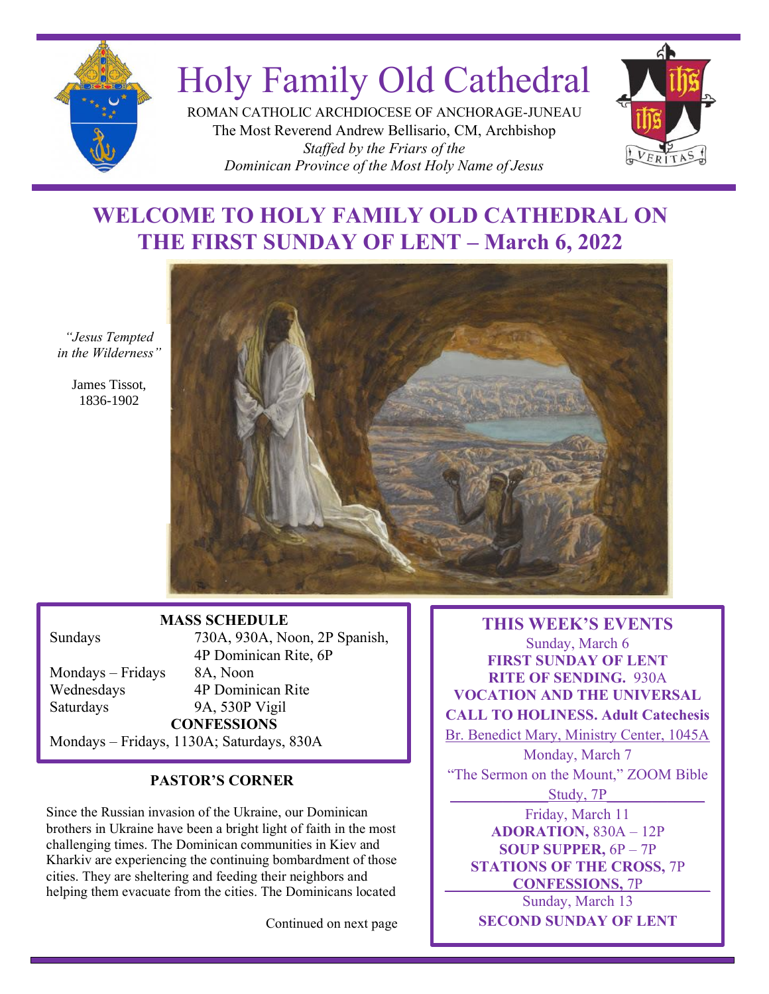

# Holy Family Old Cathedral

ROMAN CATHOLIC ARCHDIOCESE OF ANCHORAGE-JUNEAU The Most Reverend Andrew Bellisario, CM, Archbishop *Staffed by the Friars of the Dominican Province of the Most Holy Name of Jesus*



# **WELCOME TO HOLY FAMILY OLD CATHEDRAL ON THE FIRST SUNDAY OF LENT – March 6, 2022**

*"Jesus Tempted in the Wilderness"*

> James Tissot, 1836-1902



## **MASS SCHEDULE**

Mondays – Fridays 8A, Noon Saturdays 9A, 530P Vigil

30A Br. 1 Sundays 730A, 930A, Noon, 2P Spanish, 4P Dominican Rite, 6P Wednesdays 4P Dominican Rite **CONFESSIONS** Mondays – Fridays, 1130A; Saturdays, 830A

## **PASTOR'S CORNER**

Since the Russian invasion of the Ukraine, our Dominican brothers in Ukraine have been a bright light of faith in the most challenging times. The Dominican communities in Kiev and Kharkiv are experiencing the continuing bombardment of those cities. They are sheltering and feeding their neighbors and helping them evacuate from the cities. The Dominicans located

Continued on next page

**THIS WEEK'S EVENTS** Sunday, March 6 **FIRST SUNDAY OF LENT RITE OF SENDING.** 930A **VOCATION AND THE UNIVERSAL CALL TO HOLINESS. Adult Catechesis** Br. Benedict Mary, Ministry Center, 1045A Monday, March 7

"The Sermon on the Mount," ZOOM Bible

Study, 7P

Friday, March 11 **ADORATION,** 830A – 12P **SOUP SUPPER,** 6P – 7P **STATIONS OF THE CROSS,** 7P **\_\_\_\_\_\_\_\_\_CONFESSIONS,** 7P\_\_\_\_\_\_\_\_\_ Sunday, March 13 **SECOND SUNDAY OF LENT**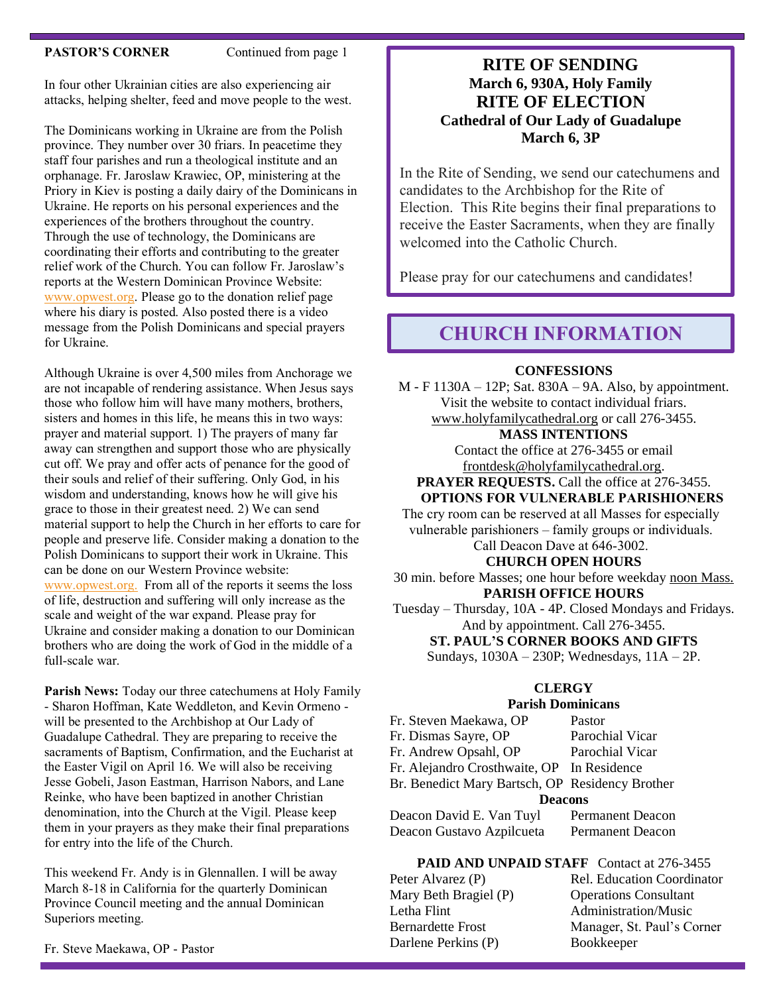#### **PASTOR'S CORNER** Continued from page 1

In four other Ukrainian cities are also experiencing air attacks, helping shelter, feed and move people to the west.

The Dominicans working in Ukraine are from the Polish province. They number over 30 friars. In peacetime they staff four parishes and run a theological institute and an orphanage. Fr. Jaroslaw Krawiec, OP, ministering at the Priory in Kiev is posting a daily dairy of the Dominicans in Ukraine. He reports on his personal experiences and the experiences of the brothers throughout the country. Through the use of technology, the Dominicans are coordinating their efforts and contributing to the greater relief work of the Church. You can follow Fr. Jaroslaw's reports at the Western Dominican Province Website: [www.opwest.org.](http://www.opwest.org/) Please go to the donation relief page where his diary is posted. Also posted there is a video message from the Polish Dominicans and special prayers for Ukraine.

Although Ukraine is over 4,500 miles from Anchorage we are not incapable of rendering assistance. When Jesus says those who follow him will have many mothers, brothers, sisters and homes in this life, he means this in two ways: prayer and material support. 1) The prayers of many far away can strengthen and support those who are physically cut off. We pray and offer acts of penance for the good of their souls and relief of their suffering. Only God, in his wisdom and understanding, knows how he will give his grace to those in their greatest need. 2) We can send material support to help the Church in her efforts to care for people and preserve life. Consider making a donation to the Polish Dominicans to support their work in Ukraine. This can be done on our Western Province website: [www.opwest.org.](http://www.opwest.org/) From all of the reports it seems the loss of life, destruction and suffering will only increase as the scale and weight of the war expand. Please pray for Ukraine and consider making a donation to our Dominican brothers who are doing the work of God in the middle of a full-scale war.

**Parish News:** Today our three catechumens at Holy Family - Sharon Hoffman, Kate Weddleton, and Kevin Ormeno will be presented to the Archbishop at Our Lady of Guadalupe Cathedral. They are preparing to receive the sacraments of Baptism, Confirmation, and the Eucharist at the Easter Vigil on April 16. We will also be receiving Jesse Gobeli, Jason Eastman, Harrison Nabors, and Lane Reinke, who have been baptized in another Christian denomination, into the Church at the Vigil. Please keep them in your prayers as they make their final preparations for entry into the life of the Church.

This weekend Fr. Andy is in Glennallen. I will be away March 8-18 in California for the quarterly Dominican Province Council meeting and the annual Dominican Superiors meeting.

## **RITE OF SENDING March 6, 930A, Holy Family RITE OF ELECTION Cathedral of Our Lady of Guadalupe March 6, 3P**

In the Rite of Sending, we send our catechumens and candidates to the Archbishop for the Rite of Election. This Rite begins their final preparations to receive the Easter Sacraments, when they are finally welcomed into the Catholic Church.

Please pray for our catechumens and candidates!

# **CHURCH INFORMATION**

#### **CONFESSIONS**

M - F 1130A – 12P; Sat. 830A – 9A. Also, by appointment. Visit the website to contact individual friars. [www.holyfamilycathedral.org](http://www.holyfamilycathedral.org/) or call 276-3455.

#### **MASS INTENTIONS**

Contact the office at 276-3455 or email [frontdesk@holyfamilycathedral.org.](mailto:frontdesk@holyfamilycathedral.org)

**PRAYER REQUESTS.** Call the office at 276-3455. **OPTIONS FOR VULNERABLE PARISHIONERS**

The cry room can be reserved at all Masses for especially vulnerable parishioners – family groups or individuals.

Call Deacon Dave at 646-3002.

#### **CHURCH OPEN HOURS**

30 min. before Masses; one hour before weekday noon Mass. **PARISH OFFICE HOURS**

Tuesday – Thursday, 10A - 4P. Closed Mondays and Fridays. And by appointment. Call 276-3455.

**ST. PAUL'S CORNER BOOKS AND GIFTS**

Sundays, 1030A – 230P; Wednesdays, 11A – 2P.

## **CLERGY**

#### **Parish Dominicans**

| Fr. Steven Maekawa, OP                          | Pastor                  |  |  |
|-------------------------------------------------|-------------------------|--|--|
| Fr. Dismas Sayre, OP                            | Parochial Vicar         |  |  |
| Fr. Andrew Opsahl, OP                           | Parochial Vicar         |  |  |
| Fr. Alejandro Crosthwaite, OP In Residence      |                         |  |  |
| Br. Benedict Mary Bartsch, OP Residency Brother |                         |  |  |
| <b>Deacons</b>                                  |                         |  |  |
| Deacon David E. Van Tuyl                        | <b>Permanent Deacon</b> |  |  |
| Deacon Gustavo Azpilcueta                       | <b>Permanent Deacon</b> |  |  |

#### PAID AND UNPAID STAFF Contact at 276-3455

Mary Beth Bragiel (P) Operations Consultant Letha Flint Administration/Music Darlene Perkins (P) Bookkeeper

Peter Alvarez (P) Rel. Education Coordinator Bernardette Frost Manager, St. Paul's Corner

Fr. Steve Maekawa, OP - Pastor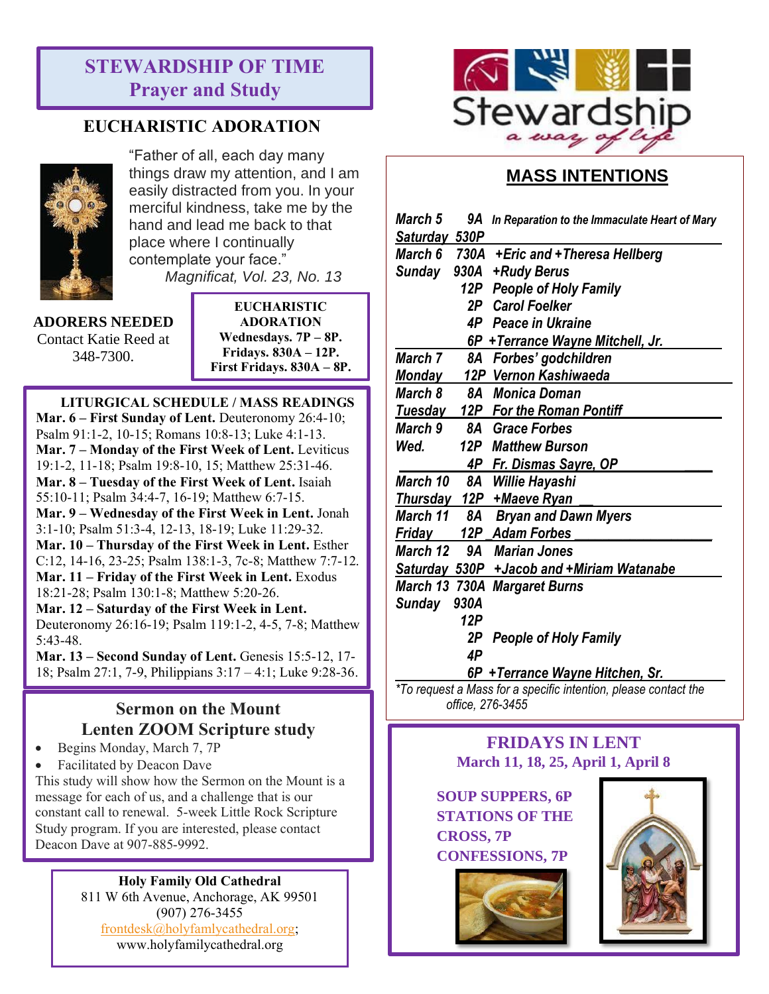# **STEWARDSHIP OF TIME Prayer and Study**

# **EUCHARISTIC ADORATION**



"Father of all, each day many things draw my attention, and I am easily distracted from you. In your merciful kindness, take me by the hand and lead me back to that place where I continually contemplate your face." *Magnificat, Vol. 23, No. 13*

**ADORERS NEEDED** Contact Katie Reed at 348-7300.

**EUCHARISTIC ADORATION Wednesdays. 7P – 8P. Fridays. 830A – 12P. First Fridays. 830A – 8P.**

## **LITURGICAL SCHEDULE / MASS READINGS**

**Mar. 6 – First Sunday of Lent.** Deuteronomy 26:4-10; Psalm 91:1-2, 10-15; Romans 10:8-13; Luke 4:1-13. **Mar. 7 – Monday of the First Week of Lent.** Leviticus 19:1-2, 11-18; Psalm 19:8-10, 15; Matthew 25:31-46. **Mar. 8 – Tuesday of the First Week of Lent.** Isaiah 55:10-11; Psalm 34:4-7, 16-19; Matthew 6:7-15. **Mar. 9 – Wednesday of the First Week in Lent.** Jonah 3:1-10; Psalm 51:3-4, 12-13, 18-19; Luke 11:29-32. **Mar. 10 – Thursday of the First Week in Lent.** Esther C:12, 14-16, 23-25; Psalm 138:1-3, 7c-8; Matthew 7:7-12. **Mar. 11 – Friday of the First Week in Lent.** Exodus 18:21-28; Psalm 130:1-8; Matthew 5:20-26. **Mar. 12 – Saturday of the First Week in Lent.** Deuteronomy 26:16-19; Psalm 119:1-2, 4-5, 7-8; Matthew 5:43-48.

**Mar. 13 – Second Sunday of Lent.** Genesis 15:5-12, 17- 18; Psalm 27:1, 7-9, Philippians 3:17 – 4:1; Luke 9:28-36.

# **Sermon on the Mount Lenten ZOOM Scripture study**

- Begins Monday, March 7, 7P
- Facilitated by Deacon Dave

This study will show how the Sermon on the Mount is a message for each of us, and a challenge that is our constant call to renewal. 5-week Little Rock Scripture Study program. If you are interested, please contact Deacon Dave at 907-885-9992.

## **Holy Family Old Cathedral**

811 W 6th Avenue, Anchorage, AK 99501 (907) 276-3455 [frontdesk@holyfamlycathedral.org;](mailto:frontdesk@holyfamlycathedral.org) [www.holyfamilycathedral.org](http://www.holyfamilycathedral.org/)



# **MASS INTENTIONS**

| March 5        |      | 9A In Reparation to the Immaculate Heart of Mary |
|----------------|------|--------------------------------------------------|
| Saturday 530P  |      |                                                  |
| March 6        |      | 730A +Eric and +Theresa Hellberg                 |
| Sunday         | 930A | +Rudy Berus                                      |
|                |      | 12P People of Holy Family                        |
|                |      | 2P Carol Foelker                                 |
|                | 4P - | Peace in Ukraine                                 |
|                |      | 6P + Terrance Wayne Mitchell, Jr.                |
| March 7        |      | 8A Forbes' godchildren                           |
| Monday         |      | 12P Vernon Kashiwaeda                            |
| <b>March 8</b> | 8A   | Monica Doman                                     |
| <u>Tuesday</u> |      | 12P For the Roman Pontiff                        |
| <b>March 9</b> |      | 8A Grace Forbes                                  |
| Wed.           |      | 12P Matthew Burson                               |
|                |      | 4P Fr. Dismas Sayre, OP                          |
| March 10       | 8A   | Willie Hayashi                                   |
|                |      | Thursday 12P + Maeve Ryan                        |
| March 11       |      | 8A Bryan and Dawn Myers                          |
| Friday         |      | 12P Adam Forbes                                  |
| March 12       | 9A   | <b>Marian Jones</b>                              |
|                |      | Saturday 530P + Jacob and + Miriam Watanabe      |
|                |      | <b>March 13 730A Margaret Burns</b>              |
| <b>Sunday</b>  | 930A |                                                  |
|                | 12P  |                                                  |
|                | 2Р   | <b>People of Holy Family</b>                     |
|                | 4P   |                                                  |
|                |      | 6P + Terrance Wayne Hitchen, Sr.                 |

*\*To request a Mass for a specific intention, please contact the office, 276-3455*

## **FRIDAYS IN LENT March 11, 18, 25, April 1, April 8**

**SOUP SUPPERS, 6P STATIONS OF THE CROSS, 7P CONFESSIONS, 7P**